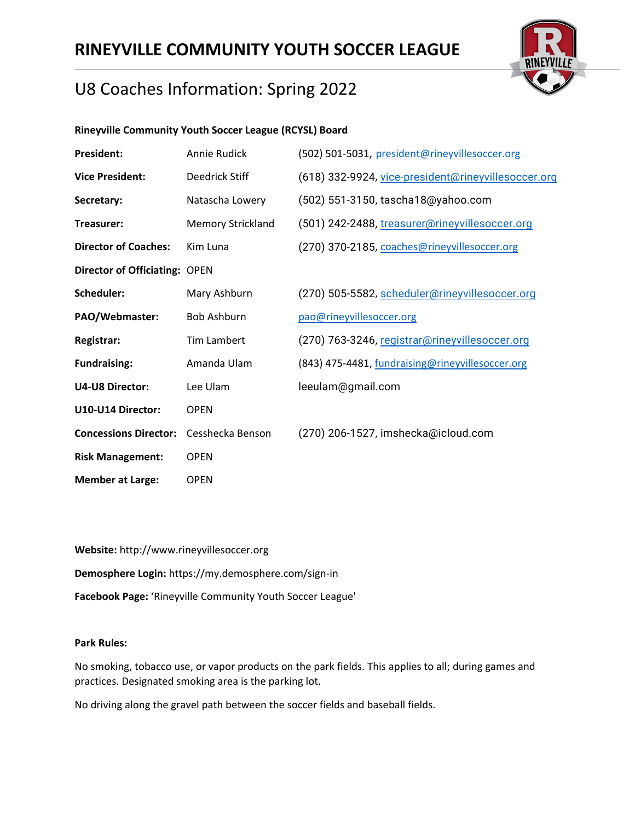

## U8 Coaches Information: Spring 2022

### **Rineyville Community Youth Soccer League (RCYSL) Board**

| <b>President:</b>                    | Annie Rudick             | (502) 501-5031, president@rineyvillesoccer.org      |
|--------------------------------------|--------------------------|-----------------------------------------------------|
| <b>Vice President:</b>               | Deedrick Stiff           | (618) 332-9924, vice-president@rineyvillesoccer.org |
| Secretary:                           | Natascha Lowery          | (502) 551-3150, tascha18@yahoo.com                  |
| Treasurer:                           | <b>Memory Strickland</b> | (501) 242-2488, treasurer@rineyvillesoccer.org      |
| <b>Director of Coaches:</b>          | Kim Luna                 | (270) 370-2185, coaches@rineyvillesoccer.org        |
| <b>Director of Officiating: OPEN</b> |                          |                                                     |
| Scheduler:                           | Mary Ashburn             | (270) 505-5582, scheduler@rineyvillesoccer.org      |
| PAO/Webmaster:                       | <b>Bob Ashburn</b>       | pao@rineyvillesoccer.org                            |
| Registrar:                           | Tim Lambert              | (270) 763-3246, registrar@rineyvillesoccer.org      |
| <b>Fundraising:</b>                  | Amanda Ulam              | (843) 475-4481, fundraising@rineyvillesoccer.org    |
| <b>U4-U8 Director:</b>               | Lee Ulam                 | leeulam@gmail.com                                   |
| U10-U14 Director:                    | <b>OPEN</b>              |                                                     |
| <b>Concessions Director:</b>         | Cesshecka Benson         | (270) 206-1527, imshecka@icloud.com                 |
| <b>Risk Management:</b>              | <b>OPEN</b>              |                                                     |
| <b>Member at Large:</b>              | <b>OPEN</b>              |                                                     |

**Website:** http://www.rineyvillesoccer.org **Demosphere Login:** https://my.demosphere.com/sign-in **Facebook Page:** 'Rineyville Community Youth Soccer League'

#### **Park Rules:**

No smoking, tobacco use, or vapor products on the park fields. This applies to all; during games and practices. Designated smoking area is the parking lot.

No driving along the gravel path between the soccer fields and baseball fields.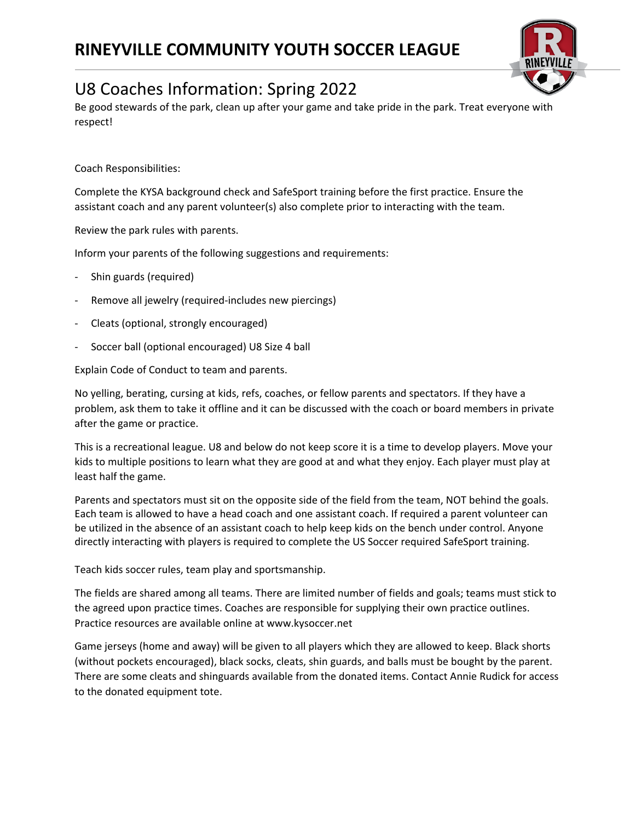

Be good stewards of the park, clean up after your game and take pride in the park. Treat everyone with respect!

Coach Responsibilities:

Complete the KYSA background check and SafeSport training before the first practice. Ensure the assistant coach and any parent volunteer(s) also complete prior to interacting with the team.

Review the park rules with parents.

Inform your parents of the following suggestions and requirements:

- Shin guards (required)
- Remove all jewelry (required-includes new piercings)
- Cleats (optional, strongly encouraged)
- Soccer ball (optional encouraged) U8 Size 4 ball

Explain Code of Conduct to team and parents.

No yelling, berating, cursing at kids, refs, coaches, or fellow parents and spectators. If they have a problem, ask them to take it offline and it can be discussed with the coach or board members in private after the game or practice.

This is a recreational league. U8 and below do not keep score it is a time to develop players. Move your kids to multiple positions to learn what they are good at and what they enjoy. Each player must play at least half the game.

Parents and spectators must sit on the opposite side of the field from the team, NOT behind the goals. Each team is allowed to have a head coach and one assistant coach. If required a parent volunteer can be utilized in the absence of an assistant coach to help keep kids on the bench under control. Anyone directly interacting with players is required to complete the US Soccer required SafeSport training.

Teach kids soccer rules, team play and sportsmanship.

The fields are shared among all teams. There are limited number of fields and goals; teams must stick to the agreed upon practice times. Coaches are responsible for supplying their own practice outlines. Practice resources are available online at www.kysoccer.net

Game jerseys (home and away) will be given to all players which they are allowed to keep. Black shorts (without pockets encouraged), black socks, cleats, shin guards, and balls must be bought by the parent. There are some cleats and shinguards available from the donated items. Contact Annie Rudick for access to the donated equipment tote.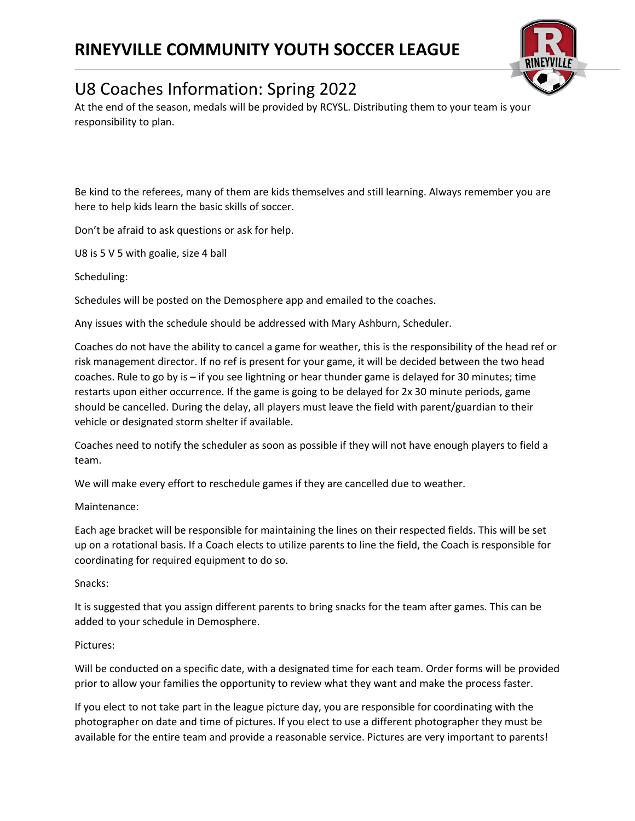

# U8 Coaches Information: Spring 2022

At the end of the season, medals will be provided by RCYSL. Distributing them to your team is your responsibility to plan.

Be kind to the referees, many of them are kids themselves and still learning. Always remember you are here to help kids learn the basic skills of soccer.

Don't be afraid to ask questions or ask for help.

U8 is 5 V 5 with goalie, size 4 ball

Scheduling:

Schedules will be posted on the Demosphere app and emailed to the coaches.

Any issues with the schedule should be addressed with Mary Ashburn, Scheduler.

Coaches do not have the ability to cancel a game for weather, this is the responsibility of the head ref or risk management director. If no ref is present for your game, it will be decided between the two head coaches. Rule to go by is – if you see lightning or hear thunder game is delayed for 30 minutes; time restarts upon either occurrence. If the game is going to be delayed for 2x 30 minute periods, game should be cancelled. During the delay, all players must leave the field with parent/guardian to their vehicle or designated storm shelter if available.

Coaches need to notify the scheduler as soon as possible if they will not have enough players to field a team.

We will make every effort to reschedule games if they are cancelled due to weather.

#### Maintenance:

Each age bracket will be responsible for maintaining the lines on their respected fields. This will be set up on a rotational basis. If a Coach elects to utilize parents to line the field, the Coach is responsible for coordinating for required equipment to do so.

### Snacks:

It is suggested that you assign different parents to bring snacks for the team after games. This can be added to your schedule in Demosphere.

### Pictures:

Will be conducted on a specific date, with a designated time for each team. Order forms will be provided prior to allow your families the opportunity to review what they want and make the process faster.

If you elect to not take part in the league picture day, you are responsible for coordinating with the photographer on date and time of pictures. If you elect to use a different photographer they must be available for the entire team and provide a reasonable service. Pictures are very important to parents!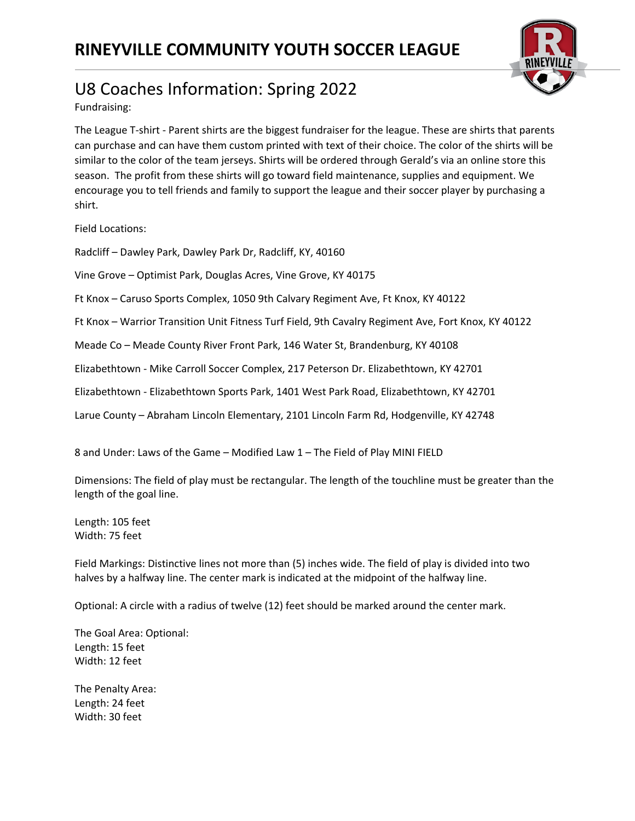

Fundraising:

The League T-shirt - Parent shirts are the biggest fundraiser for the league. These are shirts that parents can purchase and can have them custom printed with text of their choice. The color of the shirts will be similar to the color of the team jerseys. Shirts will be ordered through Gerald's via an online store this season. The profit from these shirts will go toward field maintenance, supplies and equipment. We encourage you to tell friends and family to support the league and their soccer player by purchasing a shirt.

Field Locations:

Radcliff – Dawley Park, Dawley Park Dr, Radcliff, KY, 40160

Vine Grove – Optimist Park, Douglas Acres, Vine Grove, KY 40175

Ft Knox – Caruso Sports Complex, 1050 9th Calvary Regiment Ave, Ft Knox, KY 40122

Ft Knox – Warrior Transition Unit Fitness Turf Field, 9th Cavalry Regiment Ave, Fort Knox, KY 40122

Meade Co – Meade County River Front Park, 146 Water St, Brandenburg, KY 40108

Elizabethtown - Mike Carroll Soccer Complex, 217 Peterson Dr. Elizabethtown, KY 42701

Elizabethtown - Elizabethtown Sports Park, 1401 West Park Road, Elizabethtown, KY 42701

Larue County – Abraham Lincoln Elementary, 2101 Lincoln Farm Rd, Hodgenville, KY 42748

8 and Under: Laws of the Game – Modified Law 1 – The Field of Play MINI FIELD

Dimensions: The field of play must be rectangular. The length of the touchline must be greater than the length of the goal line.

Length: 105 feet Width: 75 feet

Field Markings: Distinctive lines not more than (5) inches wide. The field of play is divided into two halves by a halfway line. The center mark is indicated at the midpoint of the halfway line.

Optional: A circle with a radius of twelve (12) feet should be marked around the center mark.

The Goal Area: Optional: Length: 15 feet Width: 12 feet

The Penalty Area: Length: 24 feet Width: 30 feet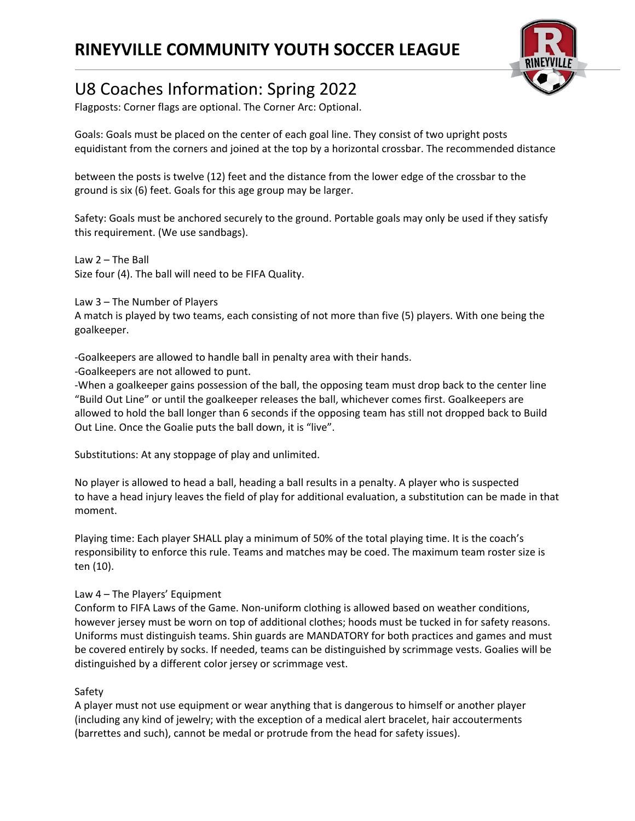

# U8 Coaches Information: Spring 2022

Flagposts: Corner flags are optional. The Corner Arc: Optional.

Goals: Goals must be placed on the center of each goal line. They consist of two upright posts equidistant from the corners and joined at the top by a horizontal crossbar. The recommended distance

between the posts is twelve (12) feet and the distance from the lower edge of the crossbar to the ground is six (6) feet. Goals for this age group may be larger.

Safety: Goals must be anchored securely to the ground. Portable goals may only be used if they satisfy this requirement. (We use sandbags).

Law 2 – The Ball Size four (4). The ball will need to be FIFA Quality.

Law 3 – The Number of Players

A match is played by two teams, each consisting of not more than five (5) players. With one being the goalkeeper.

-Goalkeepers are allowed to handle ball in penalty area with their hands.

-Goalkeepers are not allowed to punt.

-When a goalkeeper gains possession of the ball, the opposing team must drop back to the center line "Build Out Line" or until the goalkeeper releases the ball, whichever comes first. Goalkeepers are allowed to hold the ball longer than 6 seconds if the opposing team has still not dropped back to Build Out Line. Once the Goalie puts the ball down, it is "live".

Substitutions: At any stoppage of play and unlimited.

No player is allowed to head a ball, heading a ball results in a penalty. A player who is suspected to have a head injury leaves the field of play for additional evaluation, a substitution can be made in that moment.

Playing time: Each player SHALL play a minimum of 50% of the total playing time. It is the coach's responsibility to enforce this rule. Teams and matches may be coed. The maximum team roster size is ten (10).

### Law 4 – The Players' Equipment

Conform to FIFA Laws of the Game. Non-uniform clothing is allowed based on weather conditions, however jersey must be worn on top of additional clothes; hoods must be tucked in for safety reasons. Uniforms must distinguish teams. Shin guards are MANDATORY for both practices and games and must be covered entirely by socks. If needed, teams can be distinguished by scrimmage vests. Goalies will be distinguished by a different color jersey or scrimmage vest.

### Safety

A player must not use equipment or wear anything that is dangerous to himself or another player (including any kind of jewelry; with the exception of a medical alert bracelet, hair accouterments (barrettes and such), cannot be medal or protrude from the head for safety issues).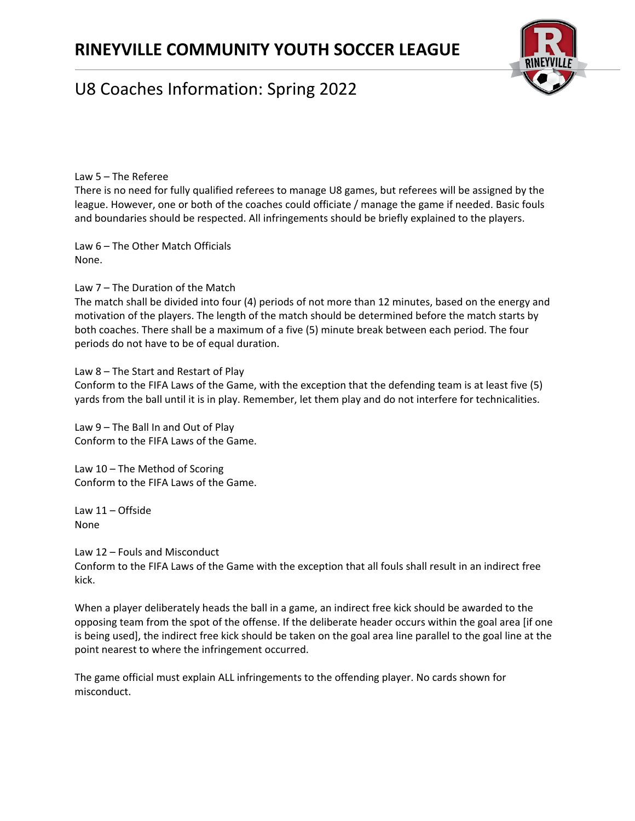

Law 5 – The Referee

There is no need for fully qualified referees to manage U8 games, but referees will be assigned by the league. However, one or both of the coaches could officiate / manage the game if needed. Basic fouls and boundaries should be respected. All infringements should be briefly explained to the players.

Law 6 – The Other Match Officials None.

Law 7 – The Duration of the Match

The match shall be divided into four (4) periods of not more than 12 minutes, based on the energy and motivation of the players. The length of the match should be determined before the match starts by both coaches. There shall be a maximum of a five (5) minute break between each period. The four periods do not have to be of equal duration.

Law 8 – The Start and Restart of Play

Conform to the FIFA Laws of the Game, with the exception that the defending team is at least five (5) yards from the ball until it is in play. Remember, let them play and do not interfere for technicalities.

Law 9 – The Ball In and Out of Play Conform to the FIFA Laws of the Game.

Law 10 – The Method of Scoring Conform to the FIFA Laws of the Game.

Law 11 – Offside None

Law 12 – Fouls and Misconduct

Conform to the FIFA Laws of the Game with the exception that all fouls shall result in an indirect free kick.

When a player deliberately heads the ball in a game, an indirect free kick should be awarded to the opposing team from the spot of the offense. If the deliberate header occurs within the goal area [if one is being used], the indirect free kick should be taken on the goal area line parallel to the goal line at the point nearest to where the infringement occurred.

The game official must explain ALL infringements to the offending player. No cards shown for misconduct.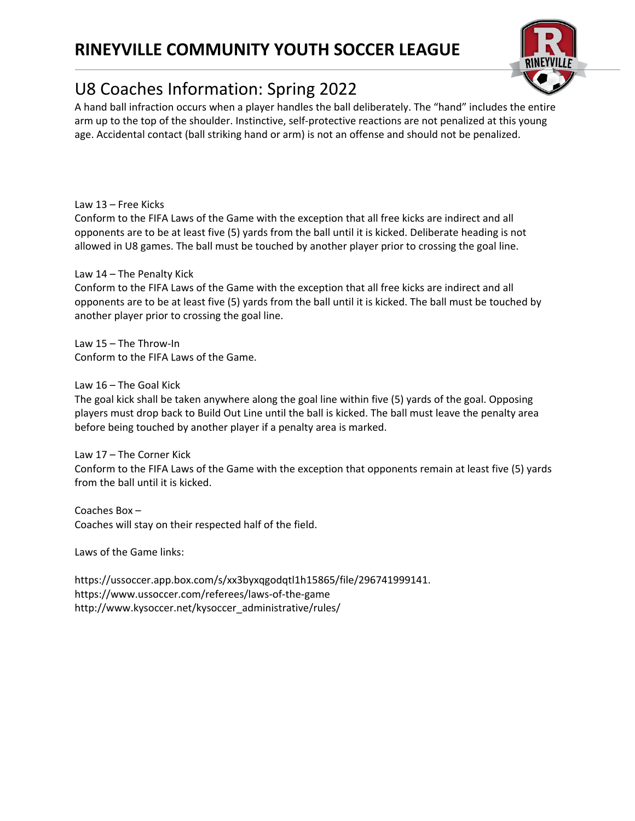

## U8 Coaches Information: Spring 2022

A hand ball infraction occurs when a player handles the ball deliberately. The "hand" includes the entire arm up to the top of the shoulder. Instinctive, self-protective reactions are not penalized at this young age. Accidental contact (ball striking hand or arm) is not an offense and should not be penalized.

Law 13 – Free Kicks

Conform to the FIFA Laws of the Game with the exception that all free kicks are indirect and all opponents are to be at least five (5) yards from the ball until it is kicked. Deliberate heading is not allowed in U8 games. The ball must be touched by another player prior to crossing the goal line.

Law 14 – The Penalty Kick

Conform to the FIFA Laws of the Game with the exception that all free kicks are indirect and all opponents are to be at least five (5) yards from the ball until it is kicked. The ball must be touched by another player prior to crossing the goal line.

Law 15 – The Throw-In Conform to the FIFA Laws of the Game.

Law 16 – The Goal Kick

The goal kick shall be taken anywhere along the goal line within five (5) yards of the goal. Opposing players must drop back to Build Out Line until the ball is kicked. The ball must leave the penalty area before being touched by another player if a penalty area is marked.

Law 17 – The Corner Kick Conform to the FIFA Laws of the Game with the exception that opponents remain at least five (5) yards from the ball until it is kicked.

Coaches Box – Coaches will stay on their respected half of the field.

Laws of the Game links:

https://ussoccer.app.box.com/s/xx3byxqgodqtl1h15865/file/296741999141. https://www.ussoccer.com/referees/laws-of-the-game http://www.kysoccer.net/kysoccer\_administrative/rules/